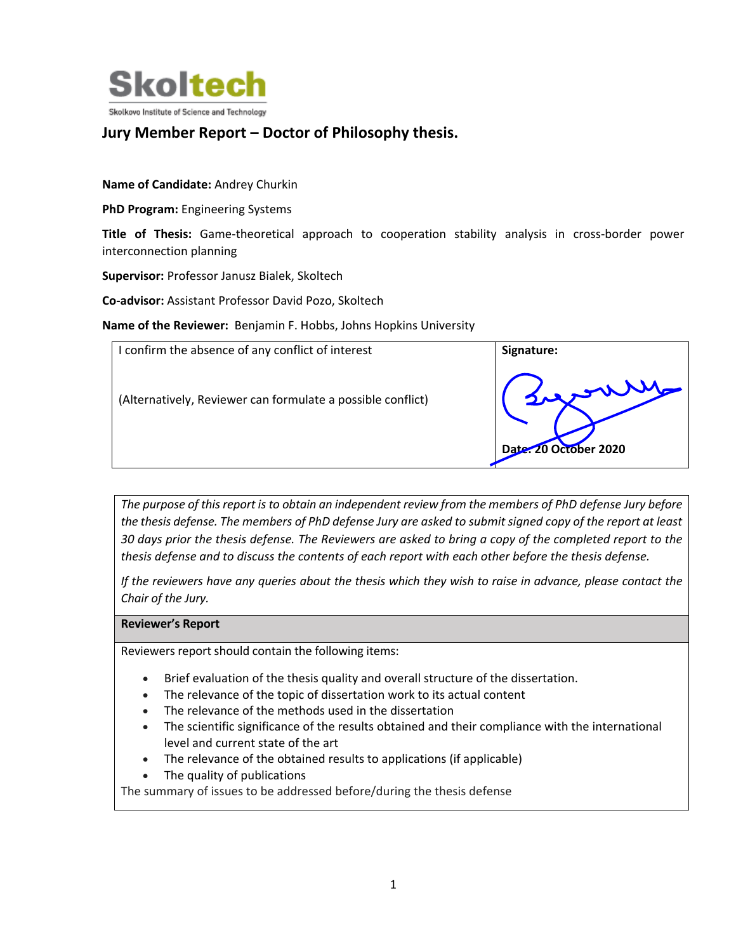

# **Jury Member Report – Doctor of Philosophy thesis.**

**Name of Candidate:** Andrey Churkin

**PhD Program:** Engineering Systems

**Title of Thesis:** Game-theoretical approach to cooperation stability analysis in cross-border power interconnection planning

**Supervisor:** Professor Janusz Bialek, Skoltech

**Co‐advisor:** Assistant Professor David Pozo, Skoltech

Name of the Reviewer: Benjamin F. Hobbs, Johns Hopkins University

| I confirm the absence of any conflict of interest           | Signature:                      |
|-------------------------------------------------------------|---------------------------------|
| (Alternatively, Reviewer can formulate a possible conflict) | wwere.<br>Date: 20 October 2020 |

*The purpose of this report is to obtain an independent review from the members of PhD defense Jury before the thesis defense. The members of PhD defense Jury are asked to submit signed copy of the report at least 30 days prior the thesis defense. The Reviewers are asked to bring a copy of the completed report to the thesis defense and to discuss the contents of each report with each other before the thesis defense.* 

*If the reviewers have any queries about the thesis which they wish to raise in advance, please contact the Chair of the Jury.*

## **Reviewer's Report**

Reviewers report should contain the following items:

- Brief evaluation of the thesis quality and overall structure of the dissertation.
- The relevance of the topic of dissertation work to its actual content
- The relevance of the methods used in the dissertation
- The scientific significance of the results obtained and their compliance with the international level and current state of the art
- The relevance of the obtained results to applications (if applicable)
- The quality of publications

The summary of issues to be addressed before/during the thesis defense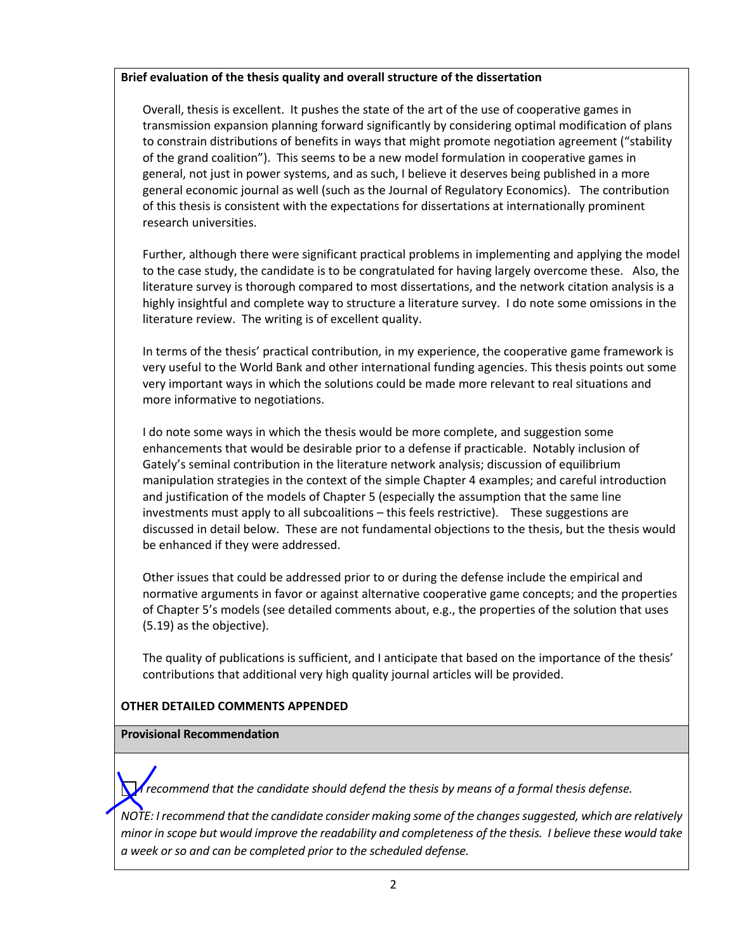# **Brief evaluation of the thesis quality and overall structure of the dissertation**

Overall, thesis is excellent. It pushes the state of the art of the use of cooperative games in transmission expansion planning forward significantly by considering optimal modification of plans to constrain distributions of benefits in ways that might promote negotiation agreement ("stability of the grand coalition"). This seems to be a new model formulation in cooperative games in general, not just in power systems, and as such, I believe it deserves being published in a more general economic journal as well (such as the Journal of Regulatory Economics). The contribution of this thesis is consistent with the expectations for dissertations at internationally prominent research universities.

Further, although there were significant practical problems in implementing and applying the model to the case study, the candidate is to be congratulated for having largely overcome these. Also, the literature survey is thorough compared to most dissertations, and the network citation analysis is a highly insightful and complete way to structure a literature survey. I do note some omissions in the literature review. The writing is of excellent quality.

In terms of the thesis' practical contribution, in my experience, the cooperative game framework is very useful to the World Bank and other international funding agencies. This thesis points out some very important ways in which the solutions could be made more relevant to real situations and more informative to negotiations.

I do note some ways in which the thesis would be more complete, and suggestion some enhancements that would be desirable prior to a defense if practicable. Notably inclusion of Gately's seminal contribution in the literature network analysis; discussion of equilibrium manipulation strategies in the context of the simple Chapter 4 examples; and careful introduction and justification of the models of Chapter 5 (especially the assumption that the same line investments must apply to all subcoalitions – this feels restrictive). These suggestions are discussed in detail below. These are not fundamental objections to the thesis, but the thesis would be enhanced if they were addressed.

Other issues that could be addressed prior to or during the defense include the empirical and normative arguments in favor or against alternative cooperative game concepts; and the properties of Chapter 5's models (see detailed comments about, e.g., the properties of the solution that uses (5.19) as the objective).

The quality of publications is sufficient, and I anticipate that based on the importance of the thesis' contributions that additional very high quality journal articles will be provided.

## **OTHER DETAILED COMMENTS APPENDED**

## **Provisional Recommendation**

*I recommend that the candidate should defend the thesis by means of a formal thesis defense.* 

*NOTE: I recommend that the candidate consider making some of the changes suggested, which are relatively minor in scope but would improve the readability and completeness of the thesis. I believe these would take a week or so and can be completed prior to the scheduled defense.*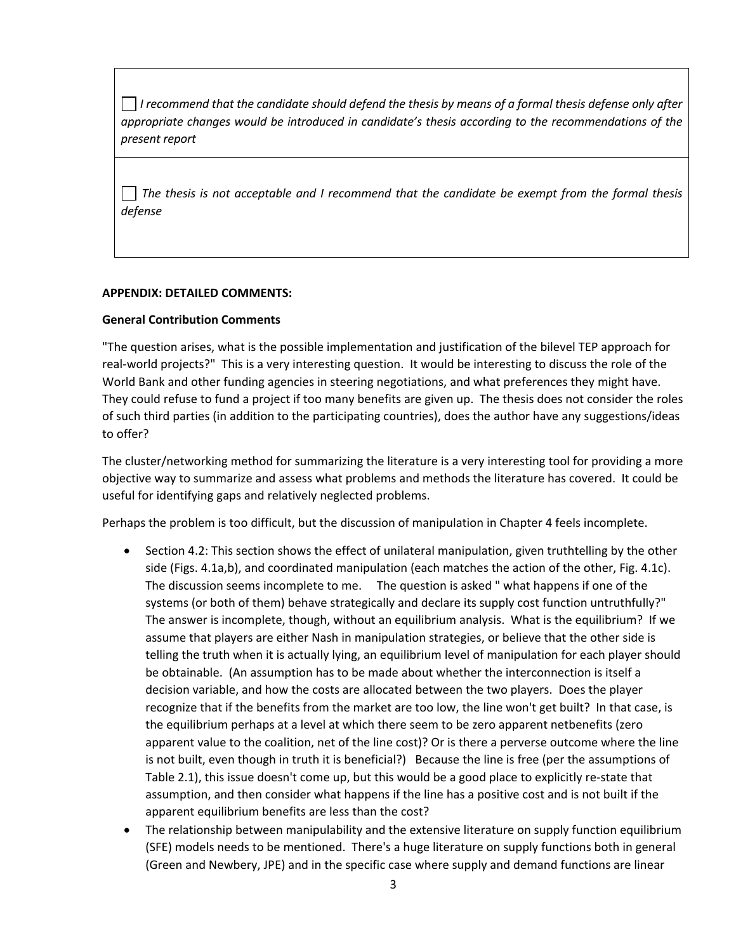*I recommend that the candidate should defend the thesis by means of a formal thesis defense only after appropriate changes would be introduced in candidate's thesis according to the recommendations of the present report*

*The thesis is not acceptable and I recommend that the candidate be exempt from the formal thesis defense* 

#### **APPENDIX: DETAILED COMMENTS:**

#### **General Contribution Comments**

"The question arises, what is the possible implementation and justification of the bilevel TEP approach for real‐world projects?" This is a very interesting question. It would be interesting to discuss the role of the World Bank and other funding agencies in steering negotiations, and what preferences they might have. They could refuse to fund a project if too many benefits are given up. The thesis does not consider the roles of such third parties (in addition to the participating countries), does the author have any suggestions/ideas to offer?

The cluster/networking method for summarizing the literature is a very interesting tool for providing a more objective way to summarize and assess what problems and methods the literature has covered. It could be useful for identifying gaps and relatively neglected problems.

Perhaps the problem is too difficult, but the discussion of manipulation in Chapter 4 feels incomplete.

- Section 4.2: This section shows the effect of unilateral manipulation, given truthtelling by the other side (Figs. 4.1a,b), and coordinated manipulation (each matches the action of the other, Fig. 4.1c). The discussion seems incomplete to me. The question is asked " what happens if one of the systems (or both of them) behave strategically and declare its supply cost function untruthfully?" The answer is incomplete, though, without an equilibrium analysis. What is the equilibrium? If we assume that players are either Nash in manipulation strategies, or believe that the other side is telling the truth when it is actually lying, an equilibrium level of manipulation for each player should be obtainable. (An assumption has to be made about whether the interconnection is itself a decision variable, and how the costs are allocated between the two players. Does the player recognize that if the benefits from the market are too low, the line won't get built? In that case, is the equilibrium perhaps at a level at which there seem to be zero apparent netbenefits (zero apparent value to the coalition, net of the line cost)? Or is there a perverse outcome where the line is not built, even though in truth it is beneficial?) Because the line is free (per the assumptions of Table 2.1), this issue doesn't come up, but this would be a good place to explicitly re‐state that assumption, and then consider what happens if the line has a positive cost and is not built if the apparent equilibrium benefits are less than the cost?
- The relationship between manipulability and the extensive literature on supply function equilibrium (SFE) models needs to be mentioned. There's a huge literature on supply functions both in general (Green and Newbery, JPE) and in the specific case where supply and demand functions are linear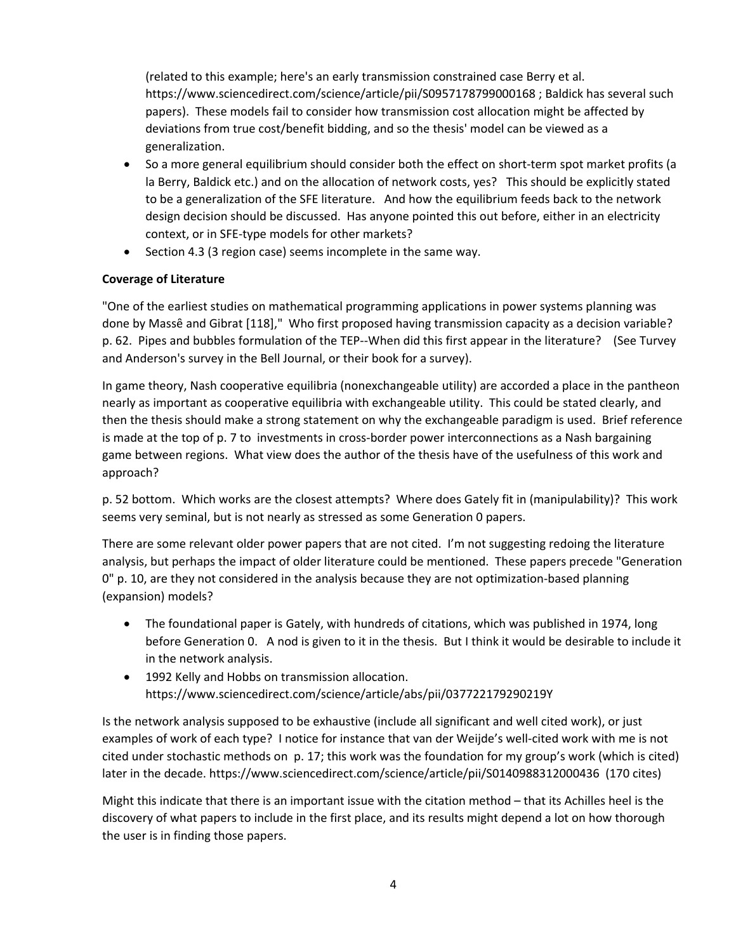(related to this example; here's an early transmission constrained case Berry et al. https://www.sciencedirect.com/science/article/pii/S0957178799000168 ; Baldick has several such papers). These models fail to consider how transmission cost allocation might be affected by deviations from true cost/benefit bidding, and so the thesis' model can be viewed as a generalization.

- So a more general equilibrium should consider both the effect on short-term spot market profits (a la Berry, Baldick etc.) and on the allocation of network costs, yes? This should be explicitly stated to be a generalization of the SFE literature. And how the equilibrium feeds back to the network design decision should be discussed. Has anyone pointed this out before, either in an electricity context, or in SFE‐type models for other markets?
- Section 4.3 (3 region case) seems incomplete in the same way.

# **Coverage of Literature**

"One of the earliest studies on mathematical programming applications in power systems planning was done by Massê and Gibrat [118]," Who first proposed having transmission capacity as a decision variable? p. 62. Pipes and bubbles formulation of the TEP‐‐When did this first appear in the literature? (See Turvey and Anderson's survey in the Bell Journal, or their book for a survey).

In game theory, Nash cooperative equilibria (nonexchangeable utility) are accorded a place in the pantheon nearly as important as cooperative equilibria with exchangeable utility. This could be stated clearly, and then the thesis should make a strong statement on why the exchangeable paradigm is used. Brief reference is made at the top of p. 7 to investments in cross-border power interconnections as a Nash bargaining game between regions. What view does the author of the thesis have of the usefulness of this work and approach?

p. 52 bottom. Which works are the closest attempts? Where does Gately fit in (manipulability)? This work seems very seminal, but is not nearly as stressed as some Generation 0 papers.

There are some relevant older power papers that are not cited. I'm not suggesting redoing the literature analysis, but perhaps the impact of older literature could be mentioned. These papers precede "Generation 0" p. 10, are they not considered in the analysis because they are not optimization‐based planning (expansion) models?

- The foundational paper is Gately, with hundreds of citations, which was published in 1974, long before Generation 0. A nod is given to it in the thesis. But I think it would be desirable to include it in the network analysis.
- 1992 Kelly and Hobbs on transmission allocation. https://www.sciencedirect.com/science/article/abs/pii/037722179290219Y

Is the network analysis supposed to be exhaustive (include all significant and well cited work), or just examples of work of each type? I notice for instance that van der Weijde's well‐cited work with me is not cited under stochastic methods on p. 17; this work was the foundation for my group's work (which is cited) later in the decade. https://www.sciencedirect.com/science/article/pii/S0140988312000436 (170 cites)

Might this indicate that there is an important issue with the citation method – that its Achilles heel is the discovery of what papers to include in the first place, and its results might depend a lot on how thorough the user is in finding those papers.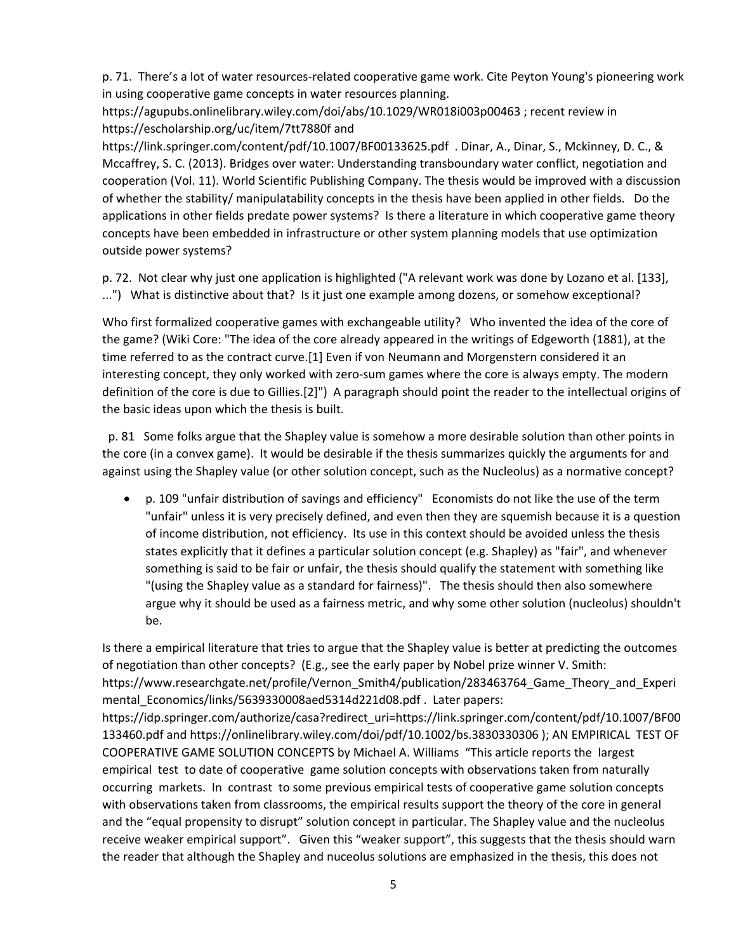p. 71. There's a lot of water resources‐related cooperative game work. Cite Peyton Young's pioneering work in using cooperative game concepts in water resources planning.

https://agupubs.onlinelibrary.wiley.com/doi/abs/10.1029/WR018i003p00463 ; recent review in https://escholarship.org/uc/item/7tt7880f and

https://link.springer.com/content/pdf/10.1007/BF00133625.pdf . Dinar, A., Dinar, S., Mckinney, D. C., & Mccaffrey, S. C. (2013). Bridges over water: Understanding transboundary water conflict, negotiation and cooperation (Vol. 11). World Scientific Publishing Company. The thesis would be improved with a discussion of whether the stability/ manipulatability concepts in the thesis have been applied in other fields. Do the applications in other fields predate power systems? Is there a literature in which cooperative game theory concepts have been embedded in infrastructure or other system planning models that use optimization outside power systems?

p. 72. Not clear why just one application is highlighted ("A relevant work was done by Lozano et al. [133], ...") What is distinctive about that? Is it just one example among dozens, or somehow exceptional?

Who first formalized cooperative games with exchangeable utility? Who invented the idea of the core of the game? (Wiki Core: "The idea of the core already appeared in the writings of Edgeworth (1881), at the time referred to as the contract curve.[1] Even if von Neumann and Morgenstern considered it an interesting concept, they only worked with zero‐sum games where the core is always empty. The modern definition of the core is due to Gillies.[2]") A paragraph should point the reader to the intellectual origins of the basic ideas upon which the thesis is built.

 p. 81 Some folks argue that the Shapley value is somehow a more desirable solution than other points in the core (in a convex game). It would be desirable if the thesis summarizes quickly the arguments for and against using the Shapley value (or other solution concept, such as the Nucleolus) as a normative concept?

 p. 109 "unfair distribution of savings and efficiency" Economists do not like the use of the term "unfair" unless it is very precisely defined, and even then they are squemish because it is a question of income distribution, not efficiency. Its use in this context should be avoided unless the thesis states explicitly that it defines a particular solution concept (e.g. Shapley) as "fair", and whenever something is said to be fair or unfair, the thesis should qualify the statement with something like "(using the Shapley value as a standard for fairness)". The thesis should then also somewhere argue why it should be used as a fairness metric, and why some other solution (nucleolus) shouldn't be.

Is there a empirical literature that tries to argue that the Shapley value is better at predicting the outcomes of negotiation than other concepts? (E.g., see the early paper by Nobel prize winner V. Smith: https://www.researchgate.net/profile/Vernon\_Smith4/publication/283463764\_Game\_Theory\_and\_Experi mental Economics/links/5639330008aed5314d221d08.pdf . Later papers: https://idp.springer.com/authorize/casa?redirect\_uri=https://link.springer.com/content/pdf/10.1007/BF00 133460.pdf and https://onlinelibrary.wiley.com/doi/pdf/10.1002/bs.3830330306 ); AN EMPIRICAL TEST OF COOPERATIVE GAME SOLUTION CONCEPTS by Michael A. Williams "This article reports the largest empirical test to date of cooperative game solution concepts with observations taken from naturally occurring markets. In contrast to some previous empirical tests of cooperative game solution concepts with observations taken from classrooms, the empirical results support the theory of the core in general and the "equal propensity to disrupt" solution concept in particular. The Shapley value and the nucleolus receive weaker empirical support". Given this "weaker support", this suggests that the thesis should warn the reader that although the Shapley and nuceolus solutions are emphasized in the thesis, this does not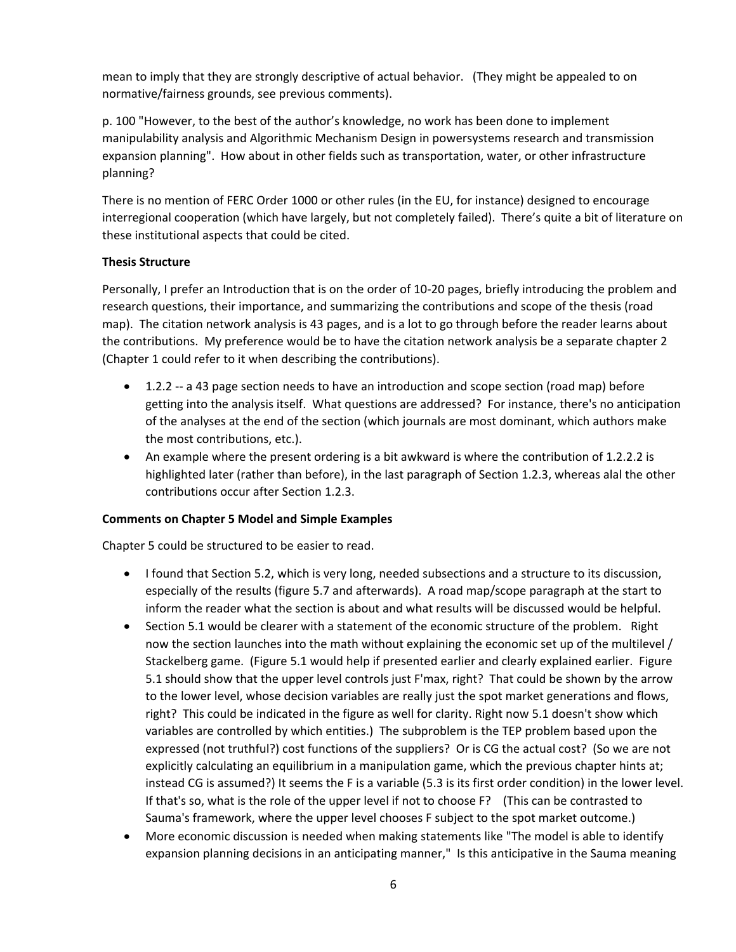mean to imply that they are strongly descriptive of actual behavior. (They might be appealed to on normative/fairness grounds, see previous comments).

p. 100 "However, to the best of the author's knowledge, no work has been done to implement manipulability analysis and Algorithmic Mechanism Design in powersystems research and transmission expansion planning". How about in other fields such as transportation, water, or other infrastructure planning?

There is no mention of FERC Order 1000 or other rules (in the EU, for instance) designed to encourage interregional cooperation (which have largely, but not completely failed). There's quite a bit of literature on these institutional aspects that could be cited.

# **Thesis Structure**

Personally, I prefer an Introduction that is on the order of 10‐20 pages, briefly introducing the problem and research questions, their importance, and summarizing the contributions and scope of the thesis (road map). The citation network analysis is 43 pages, and is a lot to go through before the reader learns about the contributions. My preference would be to have the citation network analysis be a separate chapter 2 (Chapter 1 could refer to it when describing the contributions).

- 1.2.2 -- a 43 page section needs to have an introduction and scope section (road map) before getting into the analysis itself. What questions are addressed? For instance, there's no anticipation of the analyses at the end of the section (which journals are most dominant, which authors make the most contributions, etc.).
- An example where the present ordering is a bit awkward is where the contribution of 1.2.2.2 is highlighted later (rather than before), in the last paragraph of Section 1.2.3, whereas alal the other contributions occur after Section 1.2.3.

# **Comments on Chapter 5 Model and Simple Examples**

Chapter 5 could be structured to be easier to read.

- I found that Section 5.2, which is very long, needed subsections and a structure to its discussion, especially of the results (figure 5.7 and afterwards). A road map/scope paragraph at the start to inform the reader what the section is about and what results will be discussed would be helpful.
- Section 5.1 would be clearer with a statement of the economic structure of the problem. Right now the section launches into the math without explaining the economic set up of the multilevel / Stackelberg game. (Figure 5.1 would help if presented earlier and clearly explained earlier. Figure 5.1 should show that the upper level controls just F'max, right? That could be shown by the arrow to the lower level, whose decision variables are really just the spot market generations and flows, right? This could be indicated in the figure as well for clarity. Right now 5.1 doesn't show which variables are controlled by which entities.) The subproblem is the TEP problem based upon the expressed (not truthful?) cost functions of the suppliers? Or is CG the actual cost? (So we are not explicitly calculating an equilibrium in a manipulation game, which the previous chapter hints at; instead CG is assumed?) It seems the F is a variable (5.3 is its first order condition) in the lower level. If that's so, what is the role of the upper level if not to choose F? (This can be contrasted to Sauma's framework, where the upper level chooses F subject to the spot market outcome.)
- More economic discussion is needed when making statements like "The model is able to identify expansion planning decisions in an anticipating manner," Is this anticipative in the Sauma meaning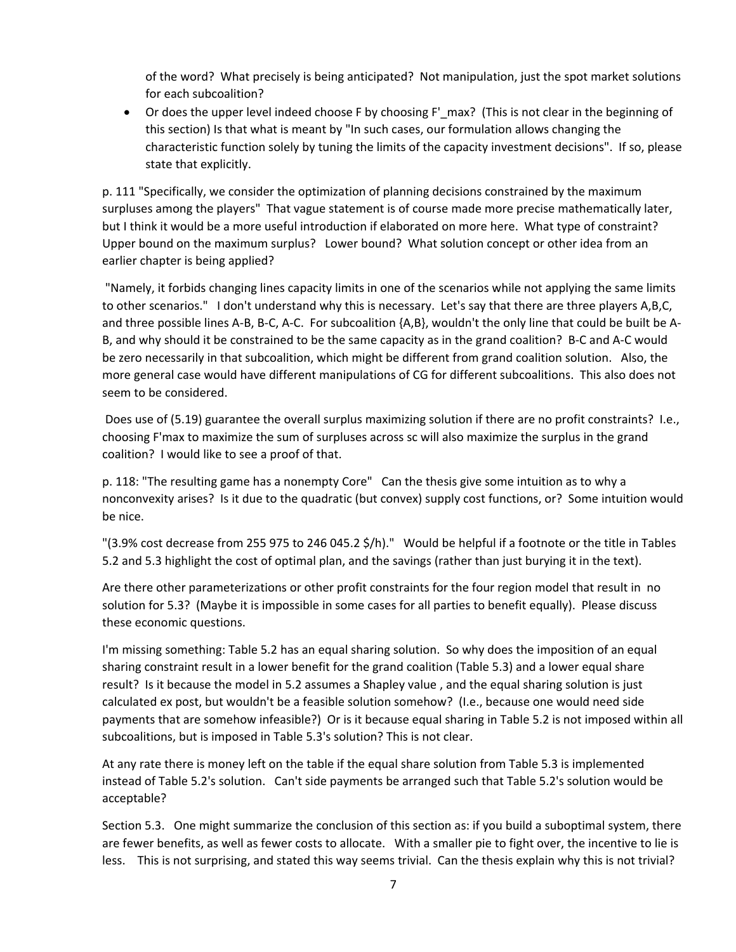of the word? What precisely is being anticipated? Not manipulation, just the spot market solutions for each subcoalition?

 Or does the upper level indeed choose F by choosing F'\_max? (This is not clear in the beginning of this section) Is that what is meant by "In such cases, our formulation allows changing the characteristic function solely by tuning the limits of the capacity investment decisions". If so, please state that explicitly.

p. 111 "Specifically, we consider the optimization of planning decisions constrained by the maximum surpluses among the players" That vague statement is of course made more precise mathematically later, but I think it would be a more useful introduction if elaborated on more here. What type of constraint? Upper bound on the maximum surplus? Lower bound? What solution concept or other idea from an earlier chapter is being applied?

 "Namely, it forbids changing lines capacity limits in one of the scenarios while not applying the same limits to other scenarios." I don't understand why this is necessary. Let's say that there are three players A,B,C, and three possible lines A-B, B-C, A-C. For subcoalition {A,B}, wouldn't the only line that could be built be A-B, and why should it be constrained to be the same capacity as in the grand coalition? B‐C and A‐C would be zero necessarily in that subcoalition, which might be different from grand coalition solution. Also, the more general case would have different manipulations of CG for different subcoalitions. This also does not seem to be considered.

 Does use of (5.19) guarantee the overall surplus maximizing solution if there are no profit constraints? I.e., choosing F'max to maximize the sum of surpluses across sc will also maximize the surplus in the grand coalition? I would like to see a proof of that.

p. 118: "The resulting game has a nonempty Core" Can the thesis give some intuition as to why a nonconvexity arises? Is it due to the quadratic (but convex) supply cost functions, or? Some intuition would be nice.

"(3.9% cost decrease from 255 975 to 246 045.2 \$/h)." Would be helpful if a footnote or the title in Tables 5.2 and 5.3 highlight the cost of optimal plan, and the savings (rather than just burying it in the text).

Are there other parameterizations or other profit constraints for the four region model that result in no solution for 5.3? (Maybe it is impossible in some cases for all parties to benefit equally). Please discuss these economic questions.

I'm missing something: Table 5.2 has an equal sharing solution. So why does the imposition of an equal sharing constraint result in a lower benefit for the grand coalition (Table 5.3) and a lower equal share result? Is it because the model in 5.2 assumes a Shapley value , and the equal sharing solution is just calculated ex post, but wouldn't be a feasible solution somehow? (I.e., because one would need side payments that are somehow infeasible?) Or is it because equal sharing in Table 5.2 is not imposed within all subcoalitions, but is imposed in Table 5.3's solution? This is not clear.

At any rate there is money left on the table if the equal share solution from Table 5.3 is implemented instead of Table 5.2's solution. Can't side payments be arranged such that Table 5.2's solution would be acceptable?

Section 5.3. One might summarize the conclusion of this section as: if you build a suboptimal system, there are fewer benefits, as well as fewer costs to allocate. With a smaller pie to fight over, the incentive to lie is less. This is not surprising, and stated this way seems trivial. Can the thesis explain why this is not trivial?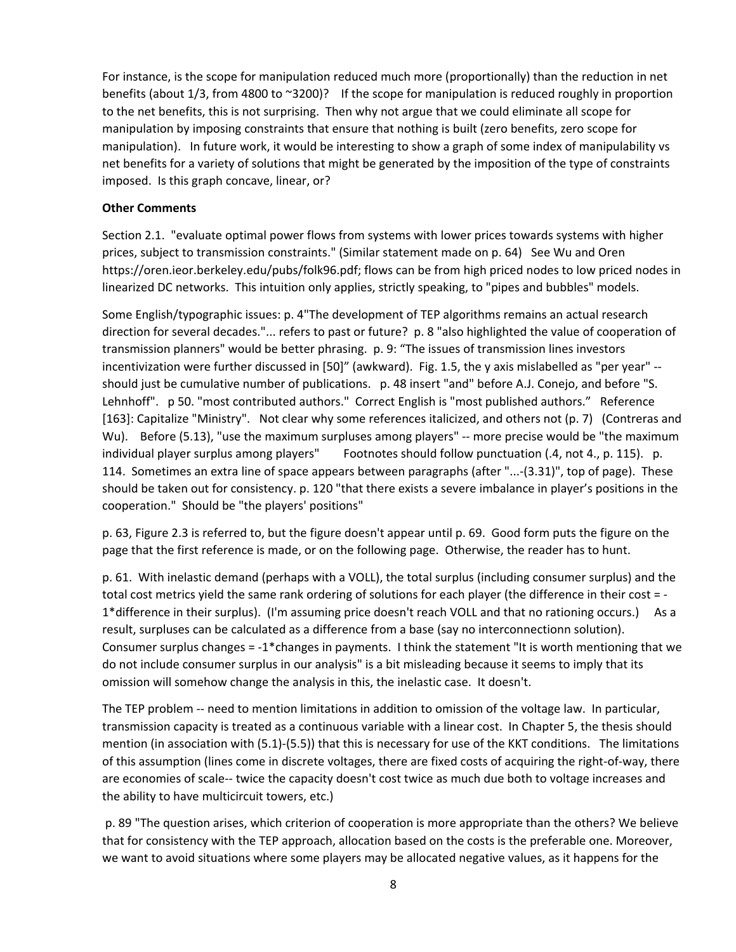For instance, is the scope for manipulation reduced much more (proportionally) than the reduction in net benefits (about 1/3, from 4800 to ~3200)? If the scope for manipulation is reduced roughly in proportion to the net benefits, this is not surprising. Then why not argue that we could eliminate all scope for manipulation by imposing constraints that ensure that nothing is built (zero benefits, zero scope for manipulation). In future work, it would be interesting to show a graph of some index of manipulability vs net benefits for a variety of solutions that might be generated by the imposition of the type of constraints imposed. Is this graph concave, linear, or?

## **Other Comments**

Section 2.1. "evaluate optimal power flows from systems with lower prices towards systems with higher prices, subject to transmission constraints." (Similar statement made on p. 64) See Wu and Oren https://oren.ieor.berkeley.edu/pubs/folk96.pdf; flows can be from high priced nodes to low priced nodes in linearized DC networks. This intuition only applies, strictly speaking, to "pipes and bubbles" models.

Some English/typographic issues: p. 4"The development of TEP algorithms remains an actual research direction for several decades."... refers to past or future? p. 8 "also highlighted the value of cooperation of transmission planners" would be better phrasing. p. 9: "The issues of transmission lines investors incentivization were further discussed in [50]" (awkward). Fig. 1.5, the y axis mislabelled as "per year" ‐‐ should just be cumulative number of publications. p. 48 insert "and" before A.J. Conejo, and before "S. Lehnhoff". p 50. "most contributed authors." Correct English is "most published authors." Reference [163]: Capitalize "Ministry". Not clear why some references italicized, and others not (p. 7) (Contreras and Wu). Before (5.13), "use the maximum surpluses among players" -- more precise would be "the maximum individual player surplus among players" Footnotes should follow punctuation (.4, not 4., p. 115). p. 114. Sometimes an extra line of space appears between paragraphs (after "...‐(3.31)", top of page). These should be taken out for consistency. p. 120 "that there exists a severe imbalance in player's positions in the cooperation." Should be "the players' positions"

p. 63, Figure 2.3 is referred to, but the figure doesn't appear until p. 69. Good form puts the figure on the page that the first reference is made, or on the following page. Otherwise, the reader has to hunt.

p. 61. With inelastic demand (perhaps with a VOLL), the total surplus (including consumer surplus) and the total cost metrics yield the same rank ordering of solutions for each player (the difference in their cost = ‐ 1\*difference in their surplus). (I'm assuming price doesn't reach VOLL and that no rationing occurs.) As a result, surpluses can be calculated as a difference from a base (say no interconnectionn solution). Consumer surplus changes = ‐1\*changes in payments. I think the statement "It is worth mentioning that we do not include consumer surplus in our analysis" is a bit misleading because it seems to imply that its omission will somehow change the analysis in this, the inelastic case. It doesn't.

The TEP problem -- need to mention limitations in addition to omission of the voltage law. In particular, transmission capacity is treated as a continuous variable with a linear cost. In Chapter 5, the thesis should mention (in association with (5.1)‐(5.5)) that this is necessary for use of the KKT conditions. The limitations of this assumption (lines come in discrete voltages, there are fixed costs of acquiring the right‐of‐way, there are economies of scale-- twice the capacity doesn't cost twice as much due both to voltage increases and the ability to have multicircuit towers, etc.)

 p. 89 "The question arises, which criterion of cooperation is more appropriate than the others? We believe that for consistency with the TEP approach, allocation based on the costs is the preferable one. Moreover, we want to avoid situations where some players may be allocated negative values, as it happens for the